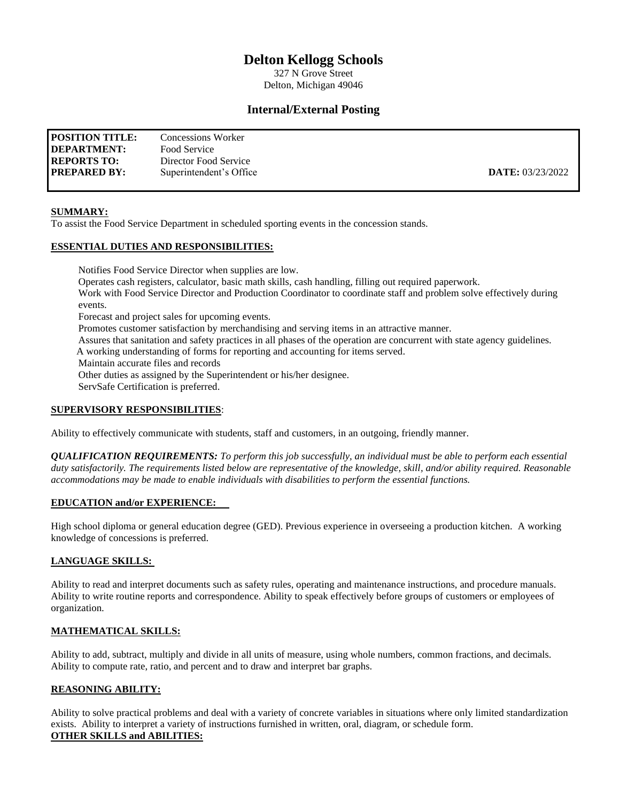# **Delton Kellogg Schools**

327 N Grove Street Delton, Michigan 49046

# **Internal/External Posting**

| <b>POSITION TITLE:</b> | Concessions Worker      |                         |
|------------------------|-------------------------|-------------------------|
| DEPARTMENT:            | Food Service            |                         |
| <b>REPORTS TO:</b>     | Director Food Service   |                         |
| <b>PREPARED BY:</b>    | Superintendent's Office | <b>DATE:</b> 03/23/2022 |

### **SUMMARY:**

To assist the Food Service Department in scheduled sporting events in the concession stands.

## **ESSENTIAL DUTIES AND RESPONSIBILITIES:**

Notifies Food Service Director when supplies are low. Operates cash registers, calculator, basic math skills, cash handling, filling out required paperwork. Work with Food Service Director and Production Coordinator to coordinate staff and problem solve effectively during events. Forecast and project sales for upcoming events. Promotes customer satisfaction by merchandising and serving items in an attractive manner. Assures that sanitation and safety practices in all phases of the operation are concurrent with state agency guidelines. A working understanding of forms for reporting and accounting for items served. Maintain accurate files and records Other duties as assigned by the Superintendent or his/her designee. ServSafe Certification is preferred.

#### **SUPERVISORY RESPONSIBILITIES**:

Ability to effectively communicate with students, staff and customers, in an outgoing, friendly manner.

*QUALIFICATION REQUIREMENTS: To perform this job successfully, an individual must be able to perform each essential duty satisfactorily. The requirements listed below are representative of the knowledge, skill, and/or ability required. Reasonable accommodations may be made to enable individuals with disabilities to perform the essential functions.*

#### **EDUCATION and/or EXPERIENCE:**

High school diploma or general education degree (GED). Previous experience in overseeing a production kitchen. A working knowledge of concessions is preferred.

#### **LANGUAGE SKILLS:**

Ability to read and interpret documents such as safety rules, operating and maintenance instructions, and procedure manuals. Ability to write routine reports and correspondence. Ability to speak effectively before groups of customers or employees of organization.

#### **MATHEMATICAL SKILLS:**

Ability to add, subtract, multiply and divide in all units of measure, using whole numbers, common fractions, and decimals. Ability to compute rate, ratio, and percent and to draw and interpret bar graphs.

#### **REASONING ABILITY:**

Ability to solve practical problems and deal with a variety of concrete variables in situations where only limited standardization exists. Ability to interpret a variety of instructions furnished in written, oral, diagram, or schedule form. **OTHER SKILLS and ABILITIES:**